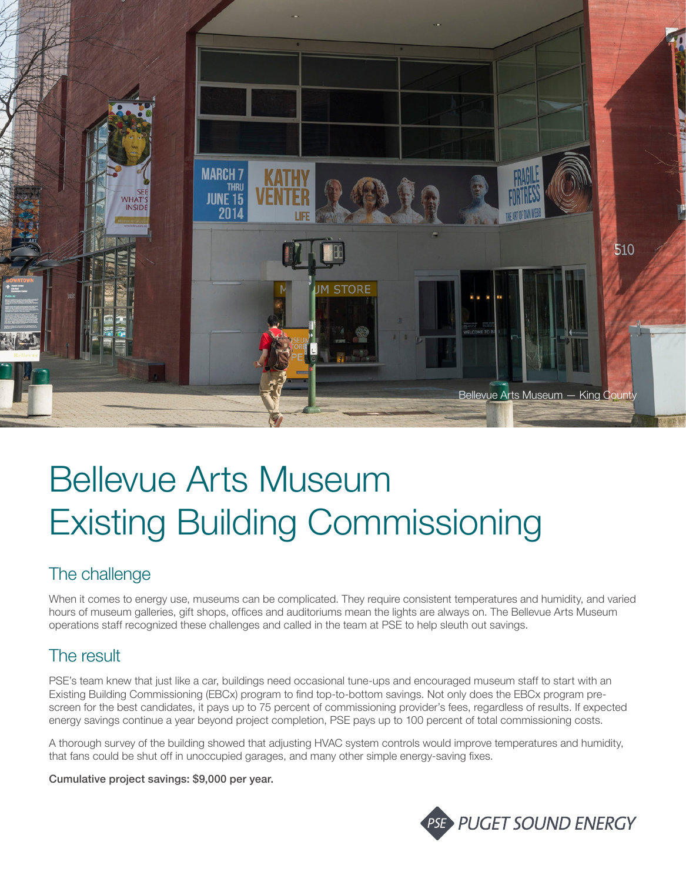

# Bellevue Arts Museum Existing Building Commissioning

## The challenge

When it comes to energy use, museums can be complicated. They require consistent temperatures and humidity, and varied hours of museum galleries, gift shops, offices and auditoriums mean the lights are always on. The Bellevue Arts Museum operations staff recognized these challenges and called in the team at PSE to help sleuth out savings.

## The result

PSE's team knew that just like a car, buildings need occasional tune-ups and encouraged museum staff to start with an Existing Building Commissioning (EBCx) program to find top-to-bottom savings. Not only does the EBCx program prescreen for the best candidates, it pays up to 75 percent of commissioning provider's fees, regardless of results. If expected energy savings continue a year beyond project completion, PSE pays up to 100 percent of total commissioning costs.

A thorough survey of the building showed that adjusting HVAC system controls would improve temperatures and humidity, that fans could be shut off in unoccupied garages, and many other simple energy-saving fixes.

Cumulative project savings: \$9,000 per year.